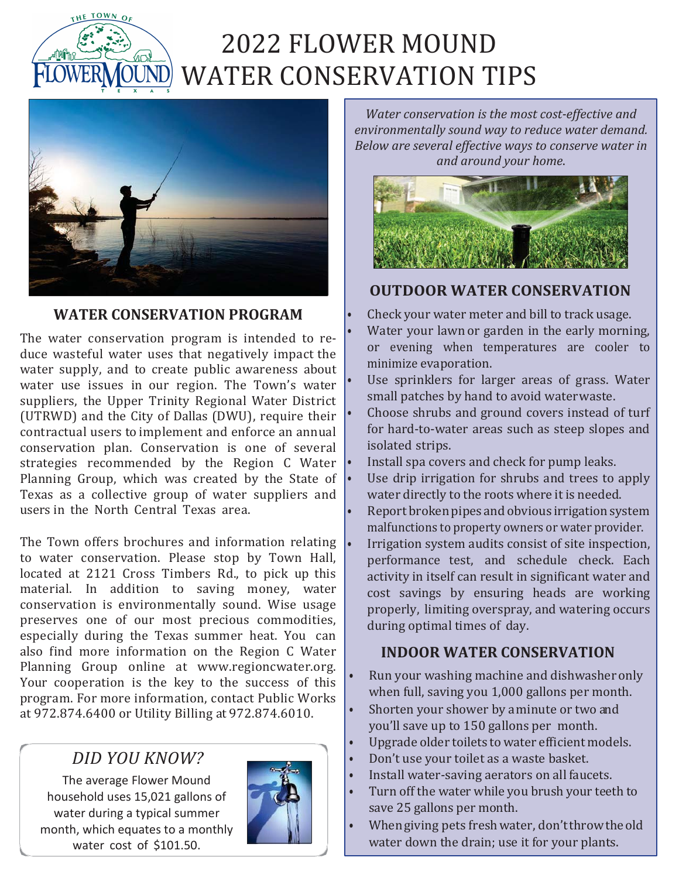

# 2022 FLOWER MOUND WATER CONSERVATION TIPS



#### **WATER CONSERVATION PROGRAM**

The water conservation program is intended to reduce wasteful water uses that negatively impact the water supply, and to create public awareness about water use issues in our region. The Town's water suppliers, the Upper Trinity Regional Water District (UTRWD) and the City of Dallas (DWU), require their contractual users to implement and enforce an annual conservation plan. Conservation is one of several strategies recommended by the Region C Water Planning Group, which was created by the State of Texas as a collective group of water suppliers and users in the North Central Texas area.

The Town offers brochures and information relating  $\cdot$ to water conservation. Please stop by Town Hall, located at 2121 Cross Timbers Rd., to pick up this material. In addition to saving money, water conservation is environmentally sound. Wise usage preserves one of our most precious commodities, especially during the Texas summer heat. You can also find more information on the Region C Water Planning Group online at [www.regioncwater.org.](http://www.regioncwater.org/) Your cooperation is the key to the success of this program. For more information, contact Public Works at 972.874.6400 or Utility Billing at 972.874.6010.

### *DID YOU KNOW?*

The average Flower Mound household uses 15,021 gallons of water during a typical summer month, which equates to a monthly water cost of \$101.50.



*Water conservation is the most cost-effective and environmentally sound way to reduce water demand. Below are several effective ways to conserve water in and around your home*.



#### **OUTDOOR WATER CONSERVATION**

- Check your water meter and bill to track usage. Water your lawn or garden in the early morning, or evening when temperatures are cooler to minimize evaporation.
- Use sprinklers for larger areas of grass. Water small patches by hand to avoid waterwaste.
- Choose shrubs and ground covers instead of turf for hard-to-water areas such as steep slopes and isolated strips.
- Install spa covers and check for pump leaks.
- Use drip irrigation for shrubs and trees to apply water directly to the roots where it is needed.
- Report broken pipes and obvious irrigation system malfunctions to property owners or water provider.
- Irrigation system audits consist of site inspection, performance test, and schedule check. Each activity in itself can result in significant water and cost savings by ensuring heads are working properly, limiting overspray, and watering occurs during optimal times of day.

#### **INDOOR WATER CONSERVATION**

- Run your washing machine and dishwasher only when full, saving you 1,000 gallons per month.
- Shorten your shower by a minute or two and you'll save up to 150 gallons per month.
- Upgrade older toilets to water efficient models.
- Don't use your toilet as a waste basket.
- Install water-saving aerators on all faucets.
- Turn off the water while you brush your teeth to save 25 gallons per month.
- Whengiving pets freshwater, don'tthrowtheold water down the drain; use it for your plants.